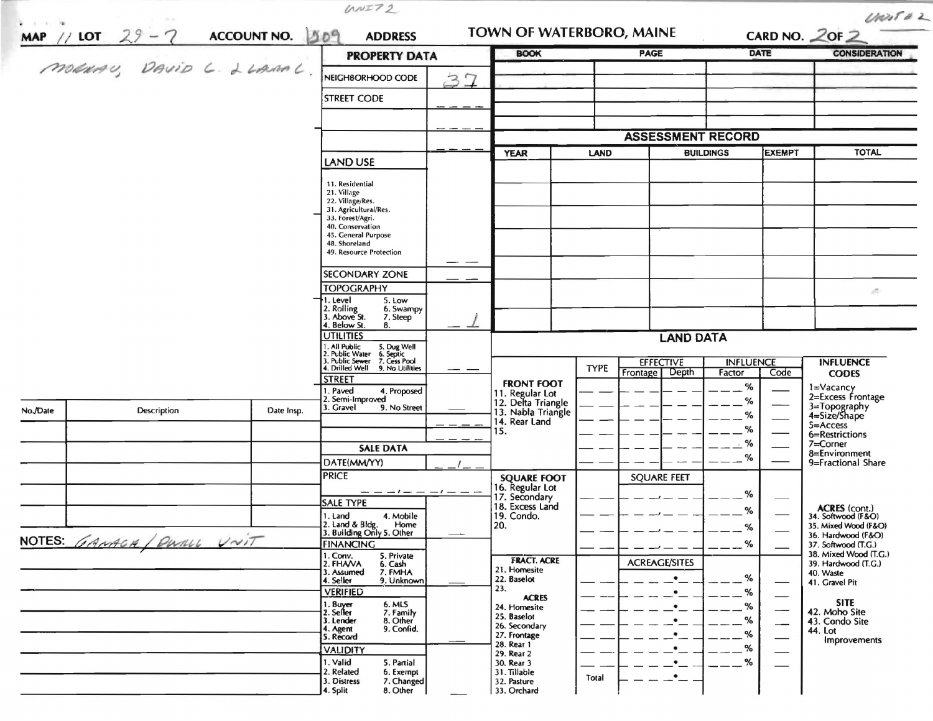|          |                          |            | <b>PROPERTY DATA</b>                                                                                                      |    | <b>BOOK</b>                                         |             | PAGE                     |                        | <b>DATE</b>   | <b>CONSIDERATION</b>                         |
|----------|--------------------------|------------|---------------------------------------------------------------------------------------------------------------------------|----|-----------------------------------------------------|-------------|--------------------------|------------------------|---------------|----------------------------------------------|
|          | MONAU, DAVID L. LLAMAL   |            | NEIGHBORHOOD CODE                                                                                                         |    |                                                     |             |                          |                        |               |                                              |
|          |                          |            | <b>STREET CODE</b>                                                                                                        | 37 |                                                     |             |                          |                        |               |                                              |
|          |                          |            |                                                                                                                           |    |                                                     |             |                          |                        |               |                                              |
|          |                          |            |                                                                                                                           |    |                                                     |             | <b>ASSESSMENT RECORD</b> |                        |               |                                              |
|          |                          |            |                                                                                                                           |    | <b>YEAR</b>                                         | LAND        |                          | <b>BUILDINGS</b>       | <b>EXEMPT</b> | <b>TOTAL</b>                                 |
|          |                          |            | LAND USE                                                                                                                  |    |                                                     |             |                          |                        |               |                                              |
|          |                          |            | 11. Residential                                                                                                           |    |                                                     |             |                          |                        |               |                                              |
|          |                          |            | 21. Village<br>22. Village/Res.<br>31. Agricultural/Res.                                                                  |    |                                                     |             |                          |                        |               |                                              |
|          |                          |            | 33. Forest/Agri.<br>40. Conservation                                                                                      |    |                                                     |             |                          |                        |               |                                              |
|          |                          |            | 45. General Purpose<br>48. Shoreland                                                                                      |    |                                                     |             |                          |                        |               |                                              |
|          |                          |            | 49. Resource Protection                                                                                                   |    |                                                     |             |                          |                        |               |                                              |
|          |                          |            | <b>SECONDARY ZONE</b>                                                                                                     |    |                                                     |             |                          |                        |               |                                              |
|          |                          |            | <b>TOPOGRAPHY</b>                                                                                                         |    |                                                     |             |                          |                        |               | $\Delta \Sigma$                              |
|          |                          |            | 1. Level<br>5. Low<br>2. Rolling<br>3. Above St.<br>6. Swampy                                                             |    |                                                     |             |                          |                        |               |                                              |
|          |                          |            | 7. Steep<br>4. Below St.<br>8.                                                                                            |    |                                                     |             |                          |                        |               |                                              |
|          |                          |            | <b>UTILITIES</b>                                                                                                          |    |                                                     |             | <b>LAND DATA</b>         |                        |               |                                              |
|          |                          |            | 1. All Public 5. Dug Well<br>2. Public Water 6. Septic<br>3. Public Sewer 7. Cess Pool<br>4. Drilled Well 9. No Utilities |    |                                                     | <b>TYPE</b> | <b>EFFECTIVE</b>         | <b>INFLUENCE</b>       |               | <b>INFLUENCE</b>                             |
|          |                          |            | <b>STREET</b>                                                                                                             |    | <b>FRONT FOOT</b>                                   |             | Depth<br>Frontage        | Factor                 | Code          | <b>CODES</b>                                 |
|          |                          |            | . Paved<br>4. Proposed<br>2. Semi-Improved                                                                                |    | 11. Regular Lot                                     |             |                          | $\%$<br>$\%$           |               | 1=Vacancy<br>2=Excess Frontage               |
| No./Date | Description              | Date Insp. | 3. Gravel<br>9. No Street                                                                                                 |    | 12. Delta Triangle<br>13. Nabla Triangle            |             |                          | %                      |               | 3=Topography<br>4=Size/Shape                 |
|          |                          |            |                                                                                                                           |    | 14. Rear Land<br>15.                                |             |                          | %                      |               | 5=Access<br>6=Restrictions                   |
|          |                          |            | <b>SALE DATA</b>                                                                                                          |    |                                                     |             |                          | $\frac{1}{2}$ %        |               | 7=Corner<br>8=Environment                    |
|          |                          |            | DATE(MM/YY)                                                                                                               |    |                                                     |             |                          | %                      |               | 9=Fractional Share                           |
|          |                          |            | <b>PRICE</b>                                                                                                              |    | <b>SQUARE FOOT</b>                                  |             | <b>SQUARE FEET</b>       |                        |               |                                              |
|          |                          |            | -- - - - - - - - -<br><b>SALE TYPE</b>                                                                                    |    | 16. Regular Lot<br>17. Secondary<br>18. Excess Land |             |                          | %                      |               |                                              |
|          |                          |            | 1. Land<br>4. Mobile                                                                                                      |    | 19. Condo.                                          |             |                          | %                      |               | ACRES (cont.)<br>34. Softwood (F&O)          |
|          |                          |            | 2. Land & Bldg. Home<br>3. Building Only 5. Other<br>Home                                                                 |    | 20.                                                 |             |                          | $\%$                   |               | 35. Mixed Wood (F&O)<br>36. Hardwood (F&O)   |
|          | NOTES: GAMAGA/DWALL UNIT |            | <b>FINANCING</b><br>1. Conv.<br>5. Private                                                                                |    |                                                     |             |                          | $\%$                   |               | 37. Softwood (T.G.)<br>38. Mixed Wood (T.G.) |
|          |                          |            | 2. FHAVA<br>6. Cash<br>3. Assumed<br>7. FMHA                                                                              |    | <b>FRACT. ACRE</b><br>21. Homesite                  |             | <b>ACREAGE/SITES</b>     |                        |               | 39. Hardwood (T.G.)<br>40. Waste             |
|          |                          |            | 4. Seller<br>9. Unknown                                                                                                   |    | 22. Baselot<br>23.                                  |             | $\bullet$                | %                      |               | 41. Gravel Pit                               |
|          |                          |            | <b>VERIFIED</b><br>1. Buyer<br>6. MLS                                                                                     |    | <b>ACRES</b><br>24. Homesite                        |             | $\bullet$                | $-$ %<br>$\frac{9}{6}$ |               | <b>SITE</b>                                  |
|          |                          |            | 7. Family<br>2. Seller<br>3. Lender<br>8. Other                                                                           |    | 25. Baselot                                         |             | $\bullet$                | %                      |               | 42. Moho Site<br>43. Condo Site              |
|          |                          |            | 9. Confid.<br>4. Agent<br>5. Record                                                                                       |    | 26. Secondary<br>27. Frontage                       |             | $\bullet$                | $\frac{9}{6}$          | --            | 44. Lot<br>Improvements                      |
|          |                          |            | <b>VALIDITY</b>                                                                                                           |    | 28. Rear 1<br>29. Rear 2                            |             | ٠                        | %                      |               |                                              |
|          |                          |            | 1. Valid<br>5. Partial<br>2. Related<br>6. Exempt                                                                         |    | 30. Rear 3<br>31. Tillable                          |             | ٠                        | %                      |               |                                              |
|          |                          |            | 3. Distress<br>7. Changed                                                                                                 |    | 32. Pasture                                         | Total       | $\bullet$                |                        |               |                                              |

 $1.1777A$